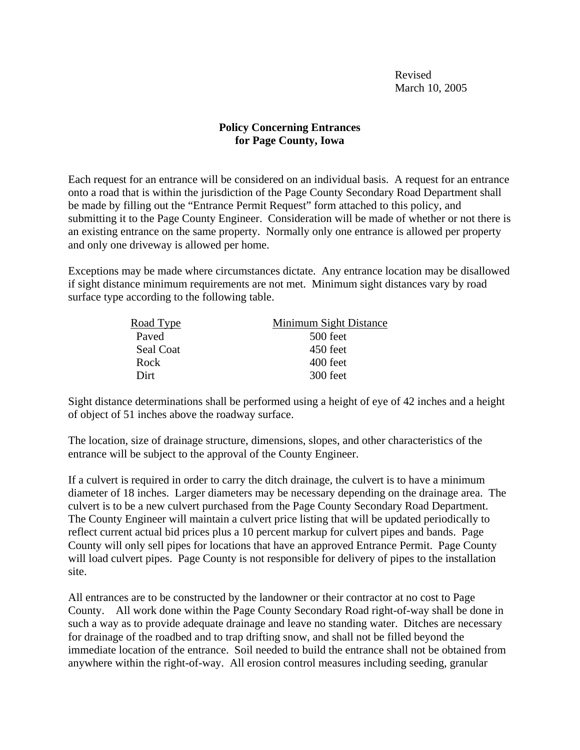Revised March 10, 2005

## **Policy Concerning Entrances for Page County, Iowa**

Each request for an entrance will be considered on an individual basis. A request for an entrance onto a road that is within the jurisdiction of the Page County Secondary Road Department shall be made by filling out the "Entrance Permit Request" form attached to this policy, and submitting it to the Page County Engineer. Consideration will be made of whether or not there is an existing entrance on the same property. Normally only one entrance is allowed per property and only one driveway is allowed per home.

Exceptions may be made where circumstances dictate. Any entrance location may be disallowed if sight distance minimum requirements are not met. Minimum sight distances vary by road surface type according to the following table.

| Minimum Sight Distance |
|------------------------|
| 500 feet               |
| 450 feet               |
| 400 feet               |
| 300 feet               |
|                        |

Sight distance determinations shall be performed using a height of eye of 42 inches and a height of object of 51 inches above the roadway surface.

The location, size of drainage structure, dimensions, slopes, and other characteristics of the entrance will be subject to the approval of the County Engineer.

If a culvert is required in order to carry the ditch drainage, the culvert is to have a minimum diameter of 18 inches. Larger diameters may be necessary depending on the drainage area. The culvert is to be a new culvert purchased from the Page County Secondary Road Department. The County Engineer will maintain a culvert price listing that will be updated periodically to reflect current actual bid prices plus a 10 percent markup for culvert pipes and bands. Page County will only sell pipes for locations that have an approved Entrance Permit. Page County will load culvert pipes. Page County is not responsible for delivery of pipes to the installation site.

All entrances are to be constructed by the landowner or their contractor at no cost to Page County. All work done within the Page County Secondary Road right-of-way shall be done in such a way as to provide adequate drainage and leave no standing water. Ditches are necessary for drainage of the roadbed and to trap drifting snow, and shall not be filled beyond the immediate location of the entrance. Soil needed to build the entrance shall not be obtained from anywhere within the right-of-way. All erosion control measures including seeding, granular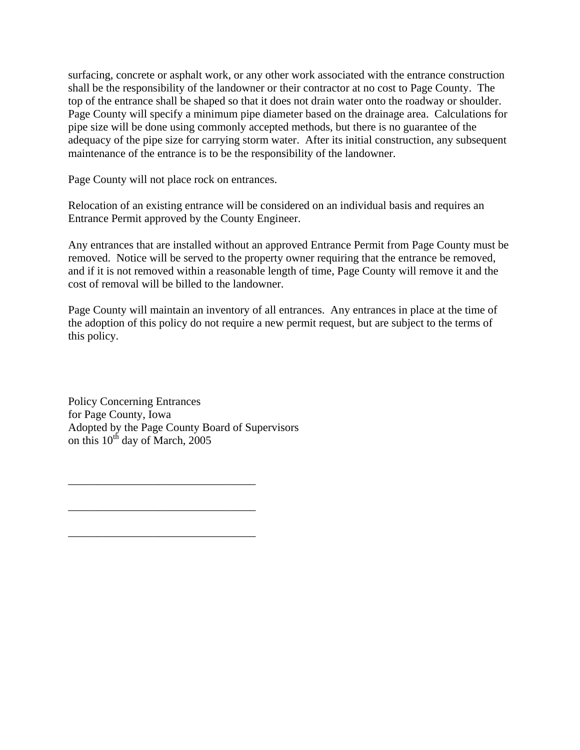surfacing, concrete or asphalt work, or any other work associated with the entrance construction shall be the responsibility of the landowner or their contractor at no cost to Page County. The top of the entrance shall be shaped so that it does not drain water onto the roadway or shoulder. Page County will specify a minimum pipe diameter based on the drainage area. Calculations for pipe size will be done using commonly accepted methods, but there is no guarantee of the adequacy of the pipe size for carrying storm water. After its initial construction, any subsequent maintenance of the entrance is to be the responsibility of the landowner.

Page County will not place rock on entrances.

Relocation of an existing entrance will be considered on an individual basis and requires an Entrance Permit approved by the County Engineer.

Any entrances that are installed without an approved Entrance Permit from Page County must be removed. Notice will be served to the property owner requiring that the entrance be removed, and if it is not removed within a reasonable length of time, Page County will remove it and the cost of removal will be billed to the landowner.

Page County will maintain an inventory of all entrances. Any entrances in place at the time of the adoption of this policy do not require a new permit request, but are subject to the terms of this policy.

Policy Concerning Entrances for Page County, Iowa Adopted by the Page County Board of Supervisors on this  $10^{th}$  day of March, 2005

\_\_\_\_\_\_\_\_\_\_\_\_\_\_\_\_\_\_\_\_\_\_\_\_\_\_\_\_\_\_\_\_\_

\_\_\_\_\_\_\_\_\_\_\_\_\_\_\_\_\_\_\_\_\_\_\_\_\_\_\_\_\_\_\_\_\_

\_\_\_\_\_\_\_\_\_\_\_\_\_\_\_\_\_\_\_\_\_\_\_\_\_\_\_\_\_\_\_\_\_